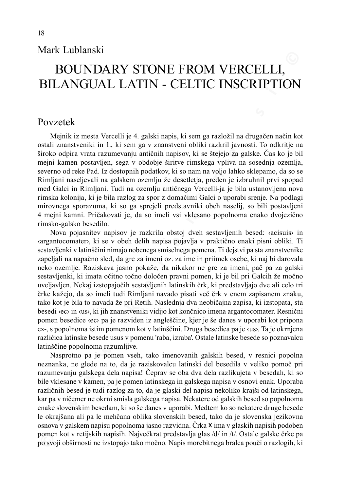# BOUNDARY STONE FROM VERCELLI, BILANGUAL LATIN - CELTIC INSCRIPTION

#### Povzetek

Mejnik iz mesta Vercelli je 4. galski napis, ki sem ga razložil na drugačen način kot ostali znanstveniki in 1., ki sem ga v znanstveni obliki razkril javnosti. To odkritje na široko odpira vrata razumevanju antičnih napisov, ki se štejejo za galske. Čas ko je bil mejni kamen postavljen, sega v obdobje širitve rimskega vpliva na sosednja ozemlja, severno od reke Pad. Iz dostopnih podatkov, ki so nam na voljo lahko sklepamo, da so se Rimljani naseljevali na galskem ozemlju že desetletja, preden je izbruhnil prvi spopad med Galci in Rimljani. Tudi na ozemlju antičnega Vercelli-ja je bila ustanovljena nova rimska kolonija, ki je bila razlog za spor z domačimi Galci o uporabi srenje. Na podlagi mirovnega sporazuma, ki so ga sprejeli predstavniki obeh naselij, so bili postavljeni 4 mejni kamni. Pričakovati je, da so imeli vsi vklesano popolnoma enako dvojezično rimsko-galsko besedilo.

**EXERCT THE CONDROMING CONDROMING CONDROMING CONDROMING CONDROMING CONDROMING CONDROMING CONDROMING CONDROMING CONDROMING CONDROMING CONDROMING CONDROMING CONDROMING CONDROMING CONDROMING CONDROMING CONDROMING CONDROMING C** Nova pojasnitev napisov je razkrila obstoj dveh sestavljenih besed: ‹acisuis› in ‹argantocomater›, ki se v obeh delih napisa pojavlja v praktično enaki pisni obliki. Ti sestavljenki v latinščini nimajo nobenega smiselnega pomena. Ti dejstvi pa sta znanstvenike zapeljali na napačno sled, da gre za imeni oz. za ime in priimek osebe, ki naj bi darovala neko ozemlje. Raziskava jasno pokaže, da nikakor ne gre za imeni, pač pa za galski sestavljenki, ki imata očitno točno določen pravni pomen, ki je bil pri Galcih že močno uveljavljen. Nekaj izstopajočih sestavljenih latinskih črk, ki predstavljajo dve ali celo tri črke kažejo, da so imeli tudi Rimljani navado pisati več črk v enem zapisanem znaku, tako kot je bila to navada že pri Retih. Naslednja dva neobičajna zapisa, ki izstopata, sta besedi ‹ec› in ‹us›, ki jih znanstveniki vidijo kot končnico imena argantocomater. Resnični pomen besedice ‹ec› pa je razviden iz angleščine, kjer je še danes v uporabi kot pripona ex-, s popolnoma istim pomenom kot v latinščini. Druga besedica pa je ‹us›. Ta je okrnjena različica latinske besede usus v pomenu 'raba, izraba'. Ostale latinske besede so poznavalcu latinščine popolnoma razumljive.

Nasprotno pa je pomen vseh, tako imenovanih galskih besed, v resnici popolna neznanka, ne glede na to, da je raziskovalcu latinski del besedila v veliko pomoč pri razumevanju galskega dela napisa! Čeprav se oba dva dela razlikujeta v besedah, ki so bile vklesane v kamen, pa je pomen latinskega in galskega napisa v osnovi enak. Uporaba različnih besed je tudi razlog za to, da je glaski del napisa nekoliko krajši od latinskega, kar pa v ničemer ne okrni smisla galskega napisa. Nekatere od galskih besed so popolnoma enake slovenskim besedam, ki so še danes v uporabi. Medtem ko so nekatere druge besede le okrajšana ali pa le mehčana oblika slovenskih besed, tako da je slovenska jezikovna osnova v galskem napisu popolnoma jasno razvidna. Črka X ima v glaskih napisih podoben pomen kot v retijskih napisih. Največkrat predstavlja glas /d/ in /t/. Ostale galske črke pa po svoji obširnosti ne izstopajo tako močno. Napis morebitnega bralca pouči o razlogih, ki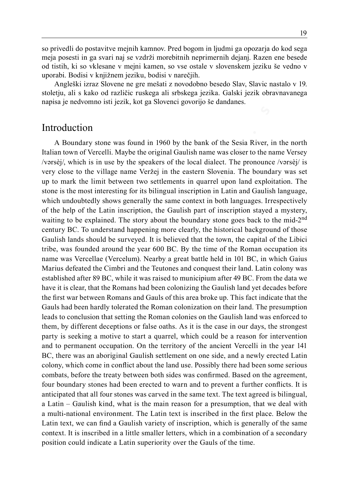so privedli do postavitve mejnih kamnov. Pred bogom in ljudmi ga opozarja do kod sega meja posesti in ga svari naj se vzdrži morebitnih neprimernih dejanj. Razen ene besede od tistih, ki so vklesane v mejni kamen, so vse ostale v slovenskem jeziku še vedno v uporabi. Bodisi v knjižnem jeziku, bodisi v narečjih.

Angleški izraz Slovene ne gre mešati z novodobno besedo Slav, Slavic nastalo v 19. stoletju, ali s kako od različic ruskega ali srbskega jezika. Galski jezik obravnavanega napisa je nedvomno isti jezik, kot ga Slovenci govorijo še dandanes.

### Introduction

**© w w w . k o r e n i n e . s i ©** A Boundary stone was found in 1960 by the bank of the Sesia River, in the north Italian town of Vercelli. Maybe the original Gaulish name was closer to the name Versey /vərsèj/, which is in use by the speakers of the local dialect. The pronounce /vərsèj/ is very close to the village name Veržej in the eastern Slovenia. The boundary was set up to mark the limit between two settlements in quarrel upon land exploitation. The stone is the most interesting for its bilingual inscription in Latin and Gaulish language, which undoubtedly shows generally the same context in both languages. Irrespectively of the help of the Latin inscription, the Gaulish part of inscription stayed a mystery, waiting to be explained. The story about the boundary stone goes back to the mid-2<sup>nd</sup> century BC. To understand happening more clearly, the historical background of those Gaulish lands should be surveyed. It is believed that the town, the capital of the Libici tribe, was founded around the year 600 BC. By the time of the Roman occupation its name was Vercellae (Vercelum). Nearby a great battle held in 101 BC, in which Gaius Marius defeated the Cimbri and the Teutones and conquest their land. Latin colony was established after 89 BC, while it was raised to municipium after 49 BC. From the data we have it is clear, that the Romans had been colonizing the Gaulish land yet decades before the first war between Romans and Gauls of this area broke up. This fact indicate that the Gauls had been hardly tolerated the Roman colonization on their land. The presumption leads to conclusion that setting the Roman colonies on the Gaulish land was enforced to them, by different deceptions or false oaths. As it is the case in our days, the strongest party is seeking a motive to start a quarrel, which could be a reason for intervention and to permanent occupation. On the territory of the ancient Vercelli in the year 141 BC, there was an aboriginal Gaulish settlement on one side, and a newly erected Latin colony, which come in conflict about the land use. Possibly there had been some serious combats, before the treaty between both sides was confirmed. Based on the agreement, four boundary stones had been erected to warn and to prevent a further conflicts. It is anticipated that all four stones was carved in the same text. The text agreed is bilingual, a Latin – Gaulish kind, what is the main reason for a presumption, that we deal with a multi-national environment. The Latin text is inscribed in the first place. Below the Latin text, we can find a Gaulish variety of inscription, which is generally of the same context. It is inscribed in a little smaller letters, which in a combination of a secondary position could indicate a Latin superiority over the Gauls of the time.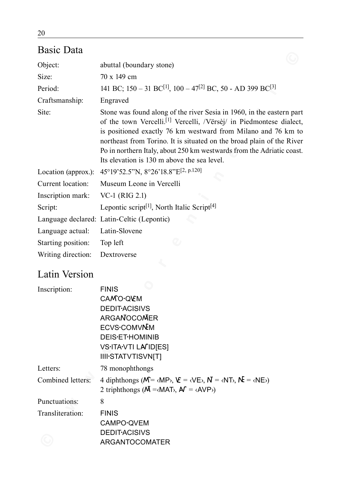# Basic Data

| Dasiy Data           |                                                                                                                                                                                                                                                                                                                                                                                                                                                                                            |
|----------------------|--------------------------------------------------------------------------------------------------------------------------------------------------------------------------------------------------------------------------------------------------------------------------------------------------------------------------------------------------------------------------------------------------------------------------------------------------------------------------------------------|
| Object:              | abuttal (boundary stone)                                                                                                                                                                                                                                                                                                                                                                                                                                                                   |
| Size:                | 70 x 149 cm                                                                                                                                                                                                                                                                                                                                                                                                                                                                                |
| Period:              | 141 BC; $150 - 31$ BC <sup>[1]</sup> , $100 - 47$ <sup>[2]</sup> BC, $50 - AD$ 399 BC <sup>[3]</sup>                                                                                                                                                                                                                                                                                                                                                                                       |
| Craftsmanship:       | Engraved                                                                                                                                                                                                                                                                                                                                                                                                                                                                                   |
| Site:                | Stone was found along of the river Sesia in 1960, in the eastern part<br>of the town Vercelli. <sup>[1]</sup> Vercelli, /Vërsèj/ in Piedmontese dialect,<br>is positioned exactly 76 km westward from Milano and 76 km to<br>northeast from Torino. It is situated on the broad plain of the River<br>Po in northern Italy, about 250 km westwards from the Adriatic coast.<br>Its elevation is 130 m above the sea level.                                                                 |
| Location (approx.):  | 45°19'52.5"N, 8°26'18.8"E <sup>[2, p.120]</sup>                                                                                                                                                                                                                                                                                                                                                                                                                                            |
| Current location:    | Museum Leone in Vercelli                                                                                                                                                                                                                                                                                                                                                                                                                                                                   |
| Inscription mark:    | $VC-1$ (RIG 2.1)                                                                                                                                                                                                                                                                                                                                                                                                                                                                           |
| Script:              | Lepontic script <sup>[1]</sup> , North Italic Script <sup>[4]</sup>                                                                                                                                                                                                                                                                                                                                                                                                                        |
|                      | Language declared: Latin-Celtic (Lepontic)                                                                                                                                                                                                                                                                                                                                                                                                                                                 |
| Language actual:     | Latin-Slovene                                                                                                                                                                                                                                                                                                                                                                                                                                                                              |
| Starting position:   | Top left                                                                                                                                                                                                                                                                                                                                                                                                                                                                                   |
| Writing direction:   | Dextroverse                                                                                                                                                                                                                                                                                                                                                                                                                                                                                |
| <b>Latin Version</b> |                                                                                                                                                                                                                                                                                                                                                                                                                                                                                            |
|                      |                                                                                                                                                                                                                                                                                                                                                                                                                                                                                            |
| Inscription:         | <b>FINIS</b>                                                                                                                                                                                                                                                                                                                                                                                                                                                                               |
|                      | CAMO <b>·Q</b> EM<br><b>DEDIT-ACISIVS</b>                                                                                                                                                                                                                                                                                                                                                                                                                                                  |
|                      | <b>ARGANOCOMER</b>                                                                                                                                                                                                                                                                                                                                                                                                                                                                         |
|                      | ECVS-COMVNEM                                                                                                                                                                                                                                                                                                                                                                                                                                                                               |
|                      | <b>DEIS-ET-HOMINIB</b>                                                                                                                                                                                                                                                                                                                                                                                                                                                                     |
|                      | VS.ITA.VTI LA ID[ES]                                                                                                                                                                                                                                                                                                                                                                                                                                                                       |
|                      | <b>IIII·STATVTISVN[T]</b>                                                                                                                                                                                                                                                                                                                                                                                                                                                                  |
| Letters:             | 78 monophthongs                                                                                                                                                                                                                                                                                                                                                                                                                                                                            |
| Combined letters:    | 4 diphthongs ( $M = \langle MP \rangle$ , $E = \langle VE \rangle$ , $N = \langle NT \rangle$ , $N = \langle NE \rangle$ )<br>2 triphthongs ( $\overline{M}$ = $\langle \overline{M}$ = $\langle \overline{A}V$ = $\langle \overline{A}V$ = $\langle \overline{A}V$ = $\langle \overline{A}V$ = $\langle \overline{A}V$ = $\langle \overline{A}V$ = $\langle \overline{A}V$ = $\langle \overline{A}V$ = $\langle \overline{A}V$ = $\langle \overline{A}V$ = $\langle \overline{A}V\rangle$ |
| Punctuations:        | 8                                                                                                                                                                                                                                                                                                                                                                                                                                                                                          |
| Transliteration:     | <b>FINIS</b>                                                                                                                                                                                                                                                                                                                                                                                                                                                                               |
|                      | CAMPO·QVEM                                                                                                                                                                                                                                                                                                                                                                                                                                                                                 |
|                      | <b>DEDIT-ACISIVS</b><br><b>ARGANTOCOMATER</b>                                                                                                                                                                                                                                                                                                                                                                                                                                              |

# Latin Version

| Inscription:      | <b>FINIS</b>                                                                                                               |
|-------------------|----------------------------------------------------------------------------------------------------------------------------|
|                   | CAMO·Q <i>EM</i>                                                                                                           |
|                   | <b>DEDITACISIVS</b>                                                                                                        |
|                   | ARGANOCOMER                                                                                                                |
|                   | <b>FCVS</b> -COMVNEM                                                                                                       |
|                   | <b>DEIS-ET-HOMINIB</b>                                                                                                     |
|                   | VS.ITA.VTI LA IDJES]                                                                                                       |
|                   | <b>IIII·STATVTISVN[T]</b>                                                                                                  |
| Letters:          | 78 monophthongs                                                                                                            |
| Combined letters: | 4 diphthongs ( $M = \langle MP \rangle$ , $V = \langle VE \rangle$ , $N = \langle NT \rangle$ , $N = \langle NE \rangle$ ) |
|                   | 2 triphthongs ( $\overline{M} = \langle \overline{M} \rangle$ , $\overline{M} = \langle \overline{A} \rangle$              |
| Punctuations:     | 8                                                                                                                          |
| Transliteration:  | <b>FINIS</b>                                                                                                               |
|                   | CAMPO.OVEM                                                                                                                 |
|                   | <b>DEDIT-ACISIVS</b>                                                                                                       |
|                   | ARGANTOCOMATER                                                                                                             |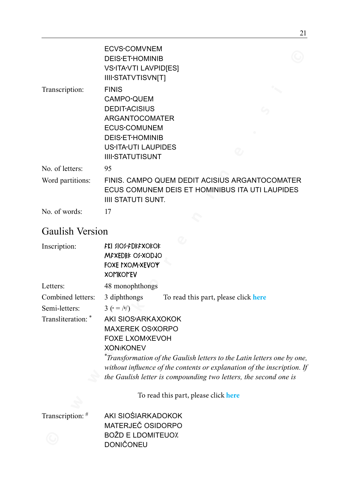|                                    | ECVS-COMVNEM<br><b>DEIS-ET-HOMINIB</b><br>VS.ITA.VTI LAVPID[ES]<br>IIII·STATVTISVN[T]                                                                                                                                                                                       |
|------------------------------------|-----------------------------------------------------------------------------------------------------------------------------------------------------------------------------------------------------------------------------------------------------------------------------|
| Transcription:                     | <b>FINIS</b><br>CAMPO-QUEM<br><b>DEDIT-ACISIUS</b><br><b>ARGANTOCOMATER</b><br><b>ECUS-COMUNEM</b><br><b>DEIS-ET-HOMINIB</b><br>US·ITA·UTI LAUPIDES<br><b>IIII·STATUTISUNT</b>                                                                                              |
| No. of letters:                    | 95                                                                                                                                                                                                                                                                          |
| Word partitions:                   | FINIS. CAMPO QUEM DEDIT ACISIUS ARGANTOCOMATER<br>ECUS COMUNEM DEIS ET HOMINIBUS ITA UTI LAUPIDES<br><b>IIII STATUTI SUNT.</b>                                                                                                                                              |
| No. of words:                      | 17                                                                                                                                                                                                                                                                          |
| <b>Gaulish Version</b>             |                                                                                                                                                                                                                                                                             |
| Inscription:                       | <b>FKI SIOS-FDKFXOKOK</b><br><b>MFXEDRK OS-XODJO</b><br>FOXE MOM-XEVOY<br><b>XOMKOMEV</b>                                                                                                                                                                                   |
| Letters:                           | 48 monophthongs                                                                                                                                                                                                                                                             |
| Combined letters:<br>Semi-letters: | 3 diphthongs<br>To read this part, please click here<br>$3 (· = /)/)$                                                                                                                                                                                                       |
| Transliteration: *                 | AKI SIOS ARKAXOKOK<br><b>MAXEREK OS XORPO</b><br><b>FOXE LXOM XEVOH</b><br><b>XONIKONEV</b><br>$\displaystyle{phantom{s}}$ Transformation of the Gaulish letters to the Latin letters one by one<br>without influence of the contents or explanation of the inscription. If |
|                                    | the Gaulish letter is compounding two letters, the second one is                                                                                                                                                                                                            |
|                                    | To read this part, please click here                                                                                                                                                                                                                                        |
| Transcription: #                   | AKI SIOŚIARKADOKOK<br>MATERJEČ OSIDORPO<br><b>BOŽD E LDOMITEUOX</b><br><b>DONIČONEU</b>                                                                                                                                                                                     |

# Gaulish Version

| Inscription:       | <b>FKI SIOS-FDKFXOKOK</b><br>MEXEDER OS-XODJO<br><b>FOXE NOM-XEVOY</b><br><b>XOMKOMEV</b>                                                                                                                                                                                                                             |
|--------------------|-----------------------------------------------------------------------------------------------------------------------------------------------------------------------------------------------------------------------------------------------------------------------------------------------------------------------|
| Letters:           | 48 monophthongs                                                                                                                                                                                                                                                                                                       |
| Combined letters:  | 3 diphthongs<br>To read this part, please click here                                                                                                                                                                                                                                                                  |
| Semi-letters:      | $3 (t = 1/2)$                                                                                                                                                                                                                                                                                                         |
| Transliteration: * | AKI SIOS ARKAXOKOK<br><b>MAXEREK OS XORPO</b><br><b>FOXE LXOM XEVOH</b><br><b>XONIKONEV</b><br>*Transformation of the Gaulish letters to the Latin letters one by one,<br>without influence of the contents or explanation of the inscription. If<br>the Gaulish letter is compounding two letters, the second one is |

Transcription: # AKI SIOŚIARKADOKOK MATERJEČ OSIDORPO BOŽD E LDOMITEUOχ DONIČONEU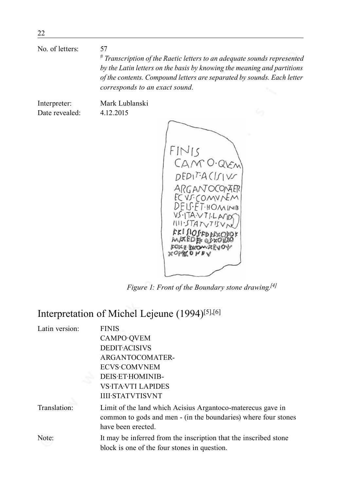No. of letters: 57 # *Transcription of the Raetic letters to an adequate sounds represented by the Latin letters on the basis by knowing the meaning and partitions of the contents. Compound letters are separated by sounds. Each letter corresponds to an exact sound.* Interpreter: Mark Lublanski Date revealed: 4.12.2015

*Figure 1: Front of the Boundary stone drawing.[4]*

# Interpretation of Michel Lejeune (1994)[5],[6]

|                                | # Transcription of the Raetic letters to an adequate sounds represente<br>by the Latin letters on the basis by knowing the meaning and partition.<br>of the contents. Compound letters are separated by sounds. Each lette<br>corresponds to an exact sound. |  |  |
|--------------------------------|--------------------------------------------------------------------------------------------------------------------------------------------------------------------------------------------------------------------------------------------------------------|--|--|
| Interpreter:<br>Date revealed: | Mark Lublanski<br>4.12.2015<br>FINIS<br>CAMO.QVE<br>DEDITACLIVS<br>ARGANOCONAER<br>ECVS.COMVNEM<br>DEIS-ET-HOMINIB<br>VS.ITA.VTI.LAGOX<br>111.5TAT<br>eki Nostderxokof<br>E BXOMXEVOY<br>Figure 1: Front of the Boundary stone drawing. <sup>[4]</sup>       |  |  |
|                                | Interpretation of Michel Lejeune (1994) <sup>[5],[6]</sup>                                                                                                                                                                                                   |  |  |
| Latin version:                 | <b>FINIS</b><br><b>CAMPO</b> QVEM<br><b>DEDIT ACISIVS</b><br>ARGANTOCOMATER-<br><b>ECVS COMVNEM</b><br><b>DEIS ET HOMINIB-</b><br><b>VS ITA VTI LAPIDES</b><br><b>IIII STATVTISVNT</b>                                                                       |  |  |
| Translation:                   | Limit of the land which Acisius Argantoco-materecus gave in<br>common to gods and men - (in the boundaries) where four stones<br>have been erected.                                                                                                          |  |  |
| Note:                          | It may be inferred from the inscription that the inscribed stone<br>block is one of the four stones in question.                                                                                                                                             |  |  |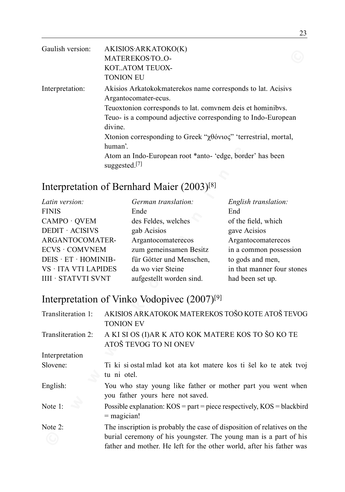| Gaulish version: | AKISIOS ARKATOKO(K)<br>MATEREKOSTOO-<br><b>KOTATOM TEUOX-</b><br><b>TONION EU</b>                                                                                                                                                                                                                                                                                                       |
|------------------|-----------------------------------------------------------------------------------------------------------------------------------------------------------------------------------------------------------------------------------------------------------------------------------------------------------------------------------------------------------------------------------------|
| Interpretation:  | Akisios Arkatokokmaterekos name corresponds to lat. Acisivs<br>Argantocomater-ecus.<br>Teuoxtonion corresponds to lat. comvnem deis et hominibys.<br>Teuo- is a compound adjective corresponding to Indo-European<br>divine.<br>Xtonion corresponding to Greek "χθόνιος" 'terrestrial, mortal,<br>human'.<br>Atom an Indo-European root *anto- 'edge, border' has been<br>suggested.[7] |

# Interpretation of Bernhard Maier (2003)[8]

| Latin version:              | German translation:      | English translation:       |
|-----------------------------|--------------------------|----------------------------|
| <b>FINIS</b>                | Ende                     | End                        |
| CAMPO · QVEM                | des Feldes, welches      | of the field, which        |
| <b>DEDIT · ACISIVS</b>      | gab Acisios              | gave Acisios               |
| ARGANTOCOMATER-             | Argantocomaterecos       | Argantocomaterecos         |
| <b>ECVS · COMVNEM</b>       | zum gemeinsamen Besitz   | in a common possession     |
| DEIS ET HOMINIB-            | für Götter und Menschen, | to gods and men,           |
| <b>VS · ITA VTI LAPIDES</b> | da wo vier Steine        | in that manner four stones |
| <b>IIII · STATVTI SVNT</b>  | aufgestellt worden sind. | had been set up.           |
|                             |                          |                            |

# Interpretation of Vinko Vodopivec (2007)[9]

| Gaunsii version.           |                                                                      | ANDIUS ANNATUNU(N)                                                         |                            |  |
|----------------------------|----------------------------------------------------------------------|----------------------------------------------------------------------------|----------------------------|--|
|                            |                                                                      | MATEREKOS TO.O-                                                            |                            |  |
|                            | KOTATOM TEUOX-                                                       |                                                                            |                            |  |
|                            | <b>TONION EU</b>                                                     |                                                                            |                            |  |
| Interpretation:            |                                                                      | Akisios Arkatokokmaterekos name corresponds to lat. Acisivs                |                            |  |
|                            |                                                                      | Argantocomater-ecus.                                                       |                            |  |
|                            |                                                                      | Teuoxtonion corresponds to lat. comvnem deis et hominibvs.                 |                            |  |
|                            |                                                                      | Teuo- is a compound adjective corresponding to Indo-European               |                            |  |
|                            | divine.                                                              |                                                                            |                            |  |
|                            |                                                                      | Xtonion corresponding to Greek "χθόνιος" 'terrestrial, mortal,             |                            |  |
|                            | human'.                                                              |                                                                            |                            |  |
|                            |                                                                      | Atom an Indo-European root *anto- 'edge, border' has been                  |                            |  |
|                            | suggested.[7]                                                        |                                                                            |                            |  |
|                            |                                                                      |                                                                            |                            |  |
|                            |                                                                      | Interpretation of Bernhard Maier (2003) <sup>[8]</sup>                     |                            |  |
| Latin version:             |                                                                      | German translation:                                                        | English translation:       |  |
| <b>FINIS</b>               |                                                                      | Ende                                                                       | End                        |  |
| CAMPO · QVEM               |                                                                      | des Feldes, welches                                                        | of the field, which        |  |
| <b>DEDIT</b> ACISIVS       |                                                                      | gab Acisios                                                                | gave Acisios               |  |
| ARGANTOCOMATER-            |                                                                      | Argantocomaterecos                                                         | Argantocomaterecos         |  |
| ECVS · COMVNEM             |                                                                      | zum gemeinsamen Besitz                                                     | in a common possession     |  |
| DEIS ET HOMINIB-           |                                                                      | für Götter und Menschen,                                                   | to gods and men,           |  |
| VS · ITA VTI LAPIDES       |                                                                      | da wo vier Steine                                                          | in that manner four stones |  |
| <b>IIII · STATVTI SVNT</b> |                                                                      | aufgestellt worden sind.                                                   | had been set up.           |  |
|                            |                                                                      | Interpretation of Vinko Vodopivec (2007) <sup>[9]</sup>                    |                            |  |
| Transliteration 1:         |                                                                      | AKISIOS ARKATOKOK MATEREKOS TOŠO KOTE ATOŠ TEVOG                           |                            |  |
|                            | <b>TONION EV</b>                                                     |                                                                            |                            |  |
| Transliteration 2:         |                                                                      | A KI SI OS (I)AR K ATO KOK MATERE KOS TO ŠO KO TE                          |                            |  |
|                            |                                                                      | ATOŠ TEVOG TO NI ONEV                                                      |                            |  |
| Interpretation             |                                                                      |                                                                            |                            |  |
| Slovene:                   |                                                                      | Ti ki si ostal mlad kot ata kot matere kos ti šel ko te atek tvoj          |                            |  |
|                            | tu ni otel.                                                          |                                                                            |                            |  |
| English:                   |                                                                      | You who stay young like father or mother part you went when                |                            |  |
|                            |                                                                      | you father yours here not saved.                                           |                            |  |
| Note 1:                    |                                                                      | Possible explanation: $KOS = part = piece$ respectively, $KOS = blackbird$ |                            |  |
|                            | $=$ magician!                                                        |                                                                            |                            |  |
| Note 2:                    |                                                                      | The inscription is probably the case of disposition of relatives on the    |                            |  |
|                            |                                                                      | burial ceremony of his youngster. The young man is a part of his           |                            |  |
|                            | father and mother. He left for the other world, after his father was |                                                                            |                            |  |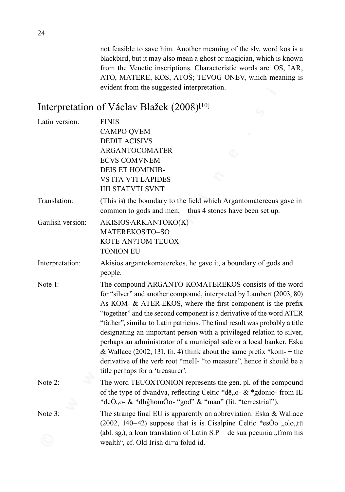not feasible to save him. Another meaning of the slv. word kos is a blackbird, but it may also mean a ghost or magician, which is known from the Venetic inscriptions. Characteristic words are: OS, IAR, ATO, MATERE, KOS, ATOŠ; TEVOG ONEV, which meaning is evident from the suggested interpretation.

## Interpretation of Václav Blažek (2008)<sup>[10]</sup>

|                  | blackbird, but it may also mean a ghost or magician, which is known<br>from the Venetic inscriptions. Characteristic words are: OS, IAR,<br>ATO, MATERE, KOS, ATOŠ; TEVOG ONEV, which meaning is<br>evident from the suggested interpretation.                                                                                                                                                                                                                                                                                                                                                                                                                                            |
|------------------|-------------------------------------------------------------------------------------------------------------------------------------------------------------------------------------------------------------------------------------------------------------------------------------------------------------------------------------------------------------------------------------------------------------------------------------------------------------------------------------------------------------------------------------------------------------------------------------------------------------------------------------------------------------------------------------------|
|                  | Interpretation of Václav Blažek (2008) <sup>[10]</sup>                                                                                                                                                                                                                                                                                                                                                                                                                                                                                                                                                                                                                                    |
| Latin version:   | <b>FINIS</b><br><b>CAMPO QVEM</b><br><b>DEDIT ACISIVS</b><br><b>ARGANTOCOMATER</b><br><b>ECVS COMVNEM</b><br>DEIS ET HOMINIB-<br><b>VS ITA VTI LAPIDES</b><br><b>IIII STATVTI SVNT</b>                                                                                                                                                                                                                                                                                                                                                                                                                                                                                                    |
| Translation:     | (This is) the boundary to the field which Argantomaterecus gave in<br>common to gods and men; - thus 4 stones have been set up.                                                                                                                                                                                                                                                                                                                                                                                                                                                                                                                                                           |
| Gaulish version: | AKISIOS·ARKANTOKO(K)<br>MATEREKOSTO-SO<br>KOTE AN?TOM TEUOX<br><b>TONION EU</b>                                                                                                                                                                                                                                                                                                                                                                                                                                                                                                                                                                                                           |
| Interpretation:  | Akisios argantokomaterekos, he gave it, a boundary of gods and<br>people.                                                                                                                                                                                                                                                                                                                                                                                                                                                                                                                                                                                                                 |
| Note 1:          | The compound ARGANTO-KOMATEREKOS consists of the word<br>for "silver" and another compound, interpreted by Lambert (2003, 80)<br>As KOM- & ATER-EKOS, where the first component is the prefix<br>"together" and the second component is a derivative of the word ATER<br>"father", similar to Latin patricius. The final result was probably a title<br>designating an important person with a privileged relation to silver,<br>perhaps an administrator of a municipal safe or a local banker. Eska<br>& Wallace (2002, 131, fn. 4) think about the same prefix *kom- + the<br>derivative of the verb root *meH- "to measure", hence it should be a<br>title perhaps for a 'treasurer'. |
| Note 2:          | The word TEUOXTONION represents the gen. pl. of the compound<br>of the type of dvandva, reflecting Celtic *de, o- & *gdonio-from IE<br>*deÔ,,o- & *dhĝhomÔo- "god" & "man" (lit. "terrestrial").                                                                                                                                                                                                                                                                                                                                                                                                                                                                                          |
| Note 3:          | The strange final EU is apparently an abbreviation. Eska & Wallace<br>$(2002, 140-42)$ suppose that is is Cisalpine Celtic *esÔo "olo"tū                                                                                                                                                                                                                                                                                                                                                                                                                                                                                                                                                  |
|                  | (abl. sg.), a loan translation of Latin $S.P = de$ sua pecunia "from his<br>wealth", cf. Old Irish di=a folud id.                                                                                                                                                                                                                                                                                                                                                                                                                                                                                                                                                                         |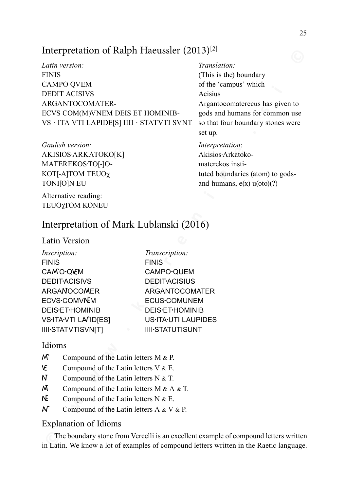# Interpretation of Ralph Haeussler (2013)[2]

## Interpretation of Mark Lublanski (2016)

|                                        | Interpretation of Raiph Haeussier $(2013)^{121}$                                                                                                                                                                                                                                               |                                                                                                                                                                                              |                                                                                                                                                                                                 |
|----------------------------------------|------------------------------------------------------------------------------------------------------------------------------------------------------------------------------------------------------------------------------------------------------------------------------------------------|----------------------------------------------------------------------------------------------------------------------------------------------------------------------------------------------|-------------------------------------------------------------------------------------------------------------------------------------------------------------------------------------------------|
| <b>FINIS</b>                           | Latin version:<br><b>CAMPO QVEM</b><br><b>DEDIT ACISIVS</b><br>ARGANTOCOMATER-<br>ECVS COM(M)VNEM DEIS ET HOMINIB-<br>VS · ITA VTI LAPIDE[S] IIII · STATVTI SVNT                                                                                                                               |                                                                                                                                                                                              | Translation:<br>(This is the) boundary<br>of the 'campus' which<br>Acisius<br>Argantocomaterecus has given to<br>gods and humans for common use<br>so that four boundary stones were<br>set up. |
|                                        | Gaulish version:<br>AKISIOS ARKATOKO[K]<br>MATEREKOS TO[-]O-<br>ΚΟΤ[-A]TOM TEUOχ<br><b>TONI[O]N EU</b>                                                                                                                                                                                         |                                                                                                                                                                                              | Interpretation:<br>Akisios Arkatoko-<br>materekos insti-<br>tuted boundaries (atom) to gods-<br>and-humans, $e(x) u(oto)(?)$                                                                    |
|                                        | Alternative reading:<br>TEUO <sub>X</sub> TOM KONEU                                                                                                                                                                                                                                            |                                                                                                                                                                                              |                                                                                                                                                                                                 |
|                                        | Interpretation of Mark Lublanski (2016)                                                                                                                                                                                                                                                        |                                                                                                                                                                                              |                                                                                                                                                                                                 |
|                                        | Latin Version                                                                                                                                                                                                                                                                                  |                                                                                                                                                                                              |                                                                                                                                                                                                 |
| <i>Inscription:</i><br><b>FINIS</b>    | CAMO.QVEM<br><b>DEDIT-ACISIVS</b><br><b>ARGANOCOMER</b><br><b>ECVS</b> -COMVNEM<br><b>DEIS-ET-HOMINIB</b><br>VS.ITA.VTI LA ID[ES]<br>IIII·STATVTISVN[T]                                                                                                                                        | Transcription:<br><b>FINIS</b><br>CAMPO·QUEM<br><b>DEDIT-ACISIUS</b><br>ARGANTOCOMATER<br><b>ECUS</b> -COMUNEM<br><b>DEIS-ET-HOMINIB</b><br>US. ITA. UTI LAUPIDES<br><b>IIII·STATUTISUNT</b> |                                                                                                                                                                                                 |
| Idioms<br>м<br>Æ<br>N<br>M<br>٨E<br>Aſ | Compound of the Latin letters M & P.<br>Compound of the Latin letters $V & E$ .<br>Compound of the Latin letters N & T.<br>Compound of the Latin letters M & A & T.<br>Compound of the Latin letters $N &E$ .<br>Compound of the Latin letters $A \& V \& P$ .<br><b>Explanation of Idioms</b> |                                                                                                                                                                                              |                                                                                                                                                                                                 |
|                                        |                                                                                                                                                                                                                                                                                                |                                                                                                                                                                                              | The boundary stone from Vercelli is an excellent example of compound letters writter<br>in Latin. We know a lot of examples of compound letters written in the Raetic language                  |

#### Idioms

- ${\cal M}$  Compound of the Latin letters M & P.<br>  ${\cal V}$  Compound of the Latin letters V & E.
- Compound of the Latin letters  $V \& E$ .
- **N** Compound of the Latin letters N  $\&$  T.<br>**M** Compound of the Latin letters M  $\&$  A
- $\overline{M}$  Compound of the Latin letters M & A & T.<br> $N_F$  Compound of the Latin letters N & E
- Compound of the Latin letters  $N & E$ .
- $\mathbf{\Delta} \mathbf{\hat{C}}$  Compound of the Latin letters A & V & P.

#### Explanation of Idioms

The boundary stone from Vercelli is an excellent example of compound letters written in Latin. We know a lot of examples of compound letters written in the Raetic language.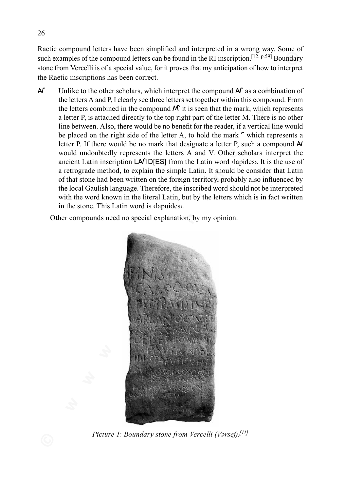Raetic compound letters have been simplified and interpreted in a wrong way. Some of such examples of the compound letters can be found in the RI inscription.<sup>[12, p.59]</sup> Boundary stone from Vercelli is of a special value, for it proves that my anticipation of how to interpret the Raetic inscriptions has been correct.

**EXECUTE IS the compound letters can be found in the RT inseription**  $[1^3, 9^{56}]$  **Poundary<br>since from Vecelli is of 1 special value, for it proves that my anticipation of how to interpret<br>the Ractic inseriptions has been**  $\mathcal{A}$  Unlike to the other scholars, which interpret the compound  $\mathcal{A}$  as a combination of the letters A and P, I clearly see three letters set together within this compound. From the letters combined in the compound  ${\bf M}$  it is seen that the mark, which represents a letter P, is attached directly to the top right part of the letter M. There is no other line between. Also, there would be no benefit for the reader, if a vertical line would be placed on the right side of the letter A, to hold the mark  $\hat{ }$  which represents a letter P. If there would be no mark that designate a letter P, such a compound  $\Delta V$ would undoubtedly represents the letters A and V. Other scholars interpret the ancient Latin inscription  $LATID[ES]$  from the Latin word *dapides*. It is the use of a retrograde method, to explain the simple Latin. It should be consider that Latin of that stone had been written on the foreign territory, probably also influenced by the local Gaulish language. Therefore, the inscribed word should not be interpreted with the word known in the literal Latin, but by the letters which is in fact written in the stone. This Latin word is ‹lapuides›.

Other compounds need no special explanation, by my opinion.



*Picture 1: Boundary stone from Vercelli (Vərsej).[11]*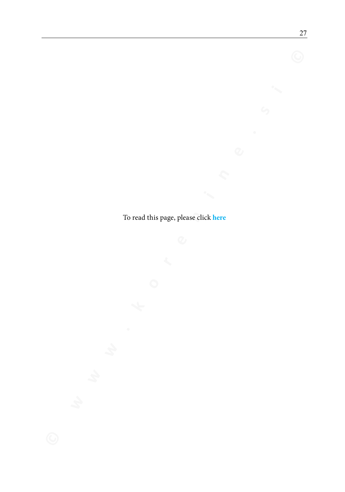**© w w w . k o r e n i n e . s i ©** To read this page, please click **[here](https://promin.si/trgovina/index.php?main_page=product_info&products_id=24)**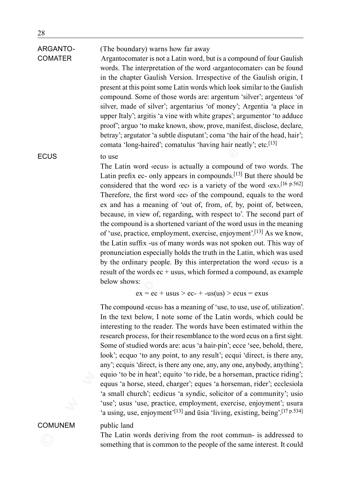#### ARGANTO- (The boundary) warns how far away

COMATER Argantocomater is not a Latin word, but is a compound of four Gaulish words. The interpretation of the word ‹argantocomater› can be found in the chapter Gaulish Version. Irrespective of the Gaulish origin, I present at this point some Latin words which look similar to the Gaulish compound. Some of those words are: argentum 'silver'; argenteus 'of silver, made of silver'; argentarius 'of money'; Argentia 'a place in upper Italy'; argitis 'a vine with white grapes'; argumentor 'to adduce proof'; arguo 'to make known, show, prove, manifest, disclose, declare, betray'; argutator 'a subtle disputant'; coma 'the hair of the head, hair'; comata 'long-haired'; comatulus 'having hair neatly'; etc.<sup>[13]</sup>

#### ECUS to use

**EXEREMALLE 1**<br> **EXEREMALLE 1** Argunetomater is not a Latin word, but is a compound of four Gaulisl<br>
words. The interpretation of the word arguantocemater can be four<br>
in the chapter Cautish Vristion. Irrespective of the The Latin word ‹ecus› is actually a compound of two words. The Latin prefix ec- only appears in compounds.[13] But there should be considered that the word  $\langle$ ec $\rangle$  is a variety of the word  $\langle$ ex $\rangle$ .<sup>[16 p.562]</sup> Therefore, the first word ‹ec› of the compound, equals to the word ex and has a meaning of 'out of, from, of, by, point of, between, because, in view of, regarding, with respect to'. The second part of the compound is a shortened variant of the word usus in the meaning of 'use, practice, employment, exercise, enjoyment'.[13] As we know, the Latin suffix -us of many words was not spoken out. This way of pronunciation especially holds the truth in the Latin, which was used by the ordinary people. By this interpretation the word ‹ecus› is a result of the words  $ec +$ usus, which formed a compound, as example below shows:

 $ex = ec + usus > ec - + -us(us) > ecus = exus$ 

The compound ‹ecus› has a meaning of 'use, to use, use of, utilization'. In the text below, I note some of the Latin words, which could be interesting to the reader. The words have been estimated within the research process, for their resemblance to the word ecus on a first sight. Some of studied words are: acus 'a hair-pin'; ecce 'see, behold, there, look'; ecquo 'to any point, to any result'; ecqui 'direct, is there any, any'; ecquis 'direct, is there any one, any, any one, anybody, anything'; equio 'to be in heat'; equito 'to ride, be a horseman, practice riding'; equus 'a horse, steed, charger'; eques 'a horseman, rider'; ecclesiola 'a small church'; ecdicus 'a syndic, solicitor of a community'; usio 'use'; usus 'use, practice, employment, exercise, enjoyment'; usura 'a using, use, enjoyment'<sup>[13]</sup> and ūsia 'living, existing, being'.<sup>[17 p.534]</sup>

COMUNEM public land

The Latin words deriving from the root commun- is addressed to something that is common to the people of the same interest. It could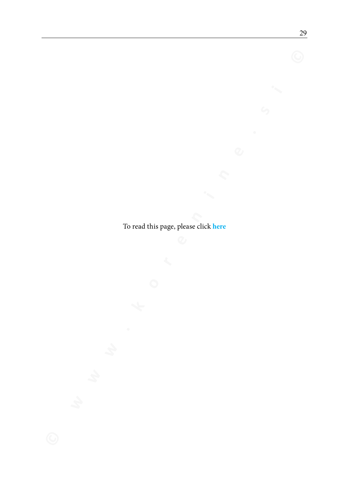**© w w w . k o r e n i n e . s i ©** To read this page, please click **[here](https://promin.si/trgovina/index.php?main_page=product_info&products_id=24)**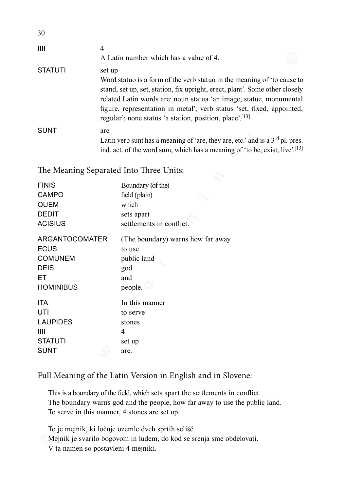| III            | 4<br>A Latin number which has a value of 4.                                                                                                                                                                                                                                                                                                                                            |  |
|----------------|----------------------------------------------------------------------------------------------------------------------------------------------------------------------------------------------------------------------------------------------------------------------------------------------------------------------------------------------------------------------------------------|--|
| <b>STATUTI</b> | set up<br>Word statuo is a form of the verb statuo in the meaning of 'to cause to<br>stand, set up, set, station, fix upright, erect, plant'. Some other closely<br>related Latin words are: noun statua 'an image, statue, monumental<br>figure, representation in metal'; verb status 'set, fixed, appointed,<br>regular'; none status 'a station, position, place'. <sup>[13]</sup> |  |
| <b>SUNT</b>    | are<br>Latin verb sunt has a meaning of 'are, they are, etc.' and is a $3rd$ pl. pres.<br>ind. act. of the word sum, which has a meaning of 'to be, exist, live'. <sup>[13]</sup>                                                                                                                                                                                                      |  |

### The Meaning Separated Into Three Units:

|                                                                                                 |        | A Latin number which has a value of 4.                                                                                                                                                                                                                                                                                                                                     |  |
|-------------------------------------------------------------------------------------------------|--------|----------------------------------------------------------------------------------------------------------------------------------------------------------------------------------------------------------------------------------------------------------------------------------------------------------------------------------------------------------------------------|--|
| <b>STATUTI</b>                                                                                  | set up | Word statuo is a form of the verb statuo in the meaning of 'to cause to<br>stand, set up, set, station, fix upright, erect, plant'. Some other closely<br>related Latin words are: noun statua 'an image, statue, monumenta<br>figure, representation in metal'; verb status 'set, fixed, appointed<br>regular'; none status 'a station, position, place'. <sup>[13]</sup> |  |
| <b>SUNT</b>                                                                                     | are    | Latin verb sunt has a meaning of 'are, they are, etc.' and is a $3rd$ pl. pres<br>ind. act. of the word sum, which has a meaning of 'to be, exist, live'.[13]                                                                                                                                                                                                              |  |
|                                                                                                 |        | The Meaning Separated Into Three Units:                                                                                                                                                                                                                                                                                                                                    |  |
| <b>FINIS</b><br>CAMPO<br>QUEM<br><b>DEDIT</b><br><b>ACISIUS</b>                                 |        | Boundary (of the)<br>field (plain)<br>which<br>sets apart<br>settlements in conflict.                                                                                                                                                                                                                                                                                      |  |
| <b>ARGANTOCOMATER</b><br><b>ECUS</b><br><b>COMUNEM</b><br><b>DEIS</b><br>EТ<br><b>HOMINIBUS</b> |        | (The boundary) warns how far away<br>to use<br>public land<br>god<br>and<br>people.                                                                                                                                                                                                                                                                                        |  |
| ITA<br>UTI<br><b>LAUPIDES</b><br>Ш<br><b>STATUTI</b><br><b>SUNT</b>                             |        | In this manner<br>to serve<br>stones<br>4<br>set up<br>are.                                                                                                                                                                                                                                                                                                                |  |
|                                                                                                 |        | Full Meaning of the Latin Version in English and in Slovene:<br>This is a boundary of the field, which sets apart the settlements in conflict.<br>The boundary warns god and the people, how far away to use the public land.<br>To serve in this manner, 4 stones are set up.                                                                                             |  |
| V to noman so nostavlani 4 mainiki                                                              |        | To je mejnik, ki ločuje ozemle dveh sprtih selišč.<br>Mejnik je svarilo bogovom in ludem, do kod se srenja sme obdelovati.                                                                                                                                                                                                                                                 |  |

#### Full Meaning of the Latin Version in English and in Slovene:

To je mejnik, ki ločuje ozemle dveh sprtih selišč. Mejnik je svarilo bogovom in ludem, do kod se srenja sme obdelovati. V ta namen so postavleni 4 mejniki.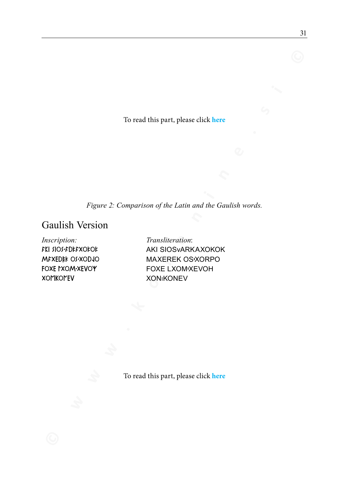To read this part, please click **[here](https://promin.si/trgovina/index.php?main_page=product_info&products_id=24)**

*Figure 2: Comparison of the Latin and the Gaulish words.*

Gaulish Version

*Inscription: Transliteration*:

**© w w w . k o r e n i n e . s i ©** AKI SIOS@ARkAXOkOk AKI SIOSvARKAXOKOK MAXEREK OSORPO MAXEREK OSORPO FOXe QXOm@XeUOY FOXE LXOMiXEVOH **XONIKONEV** 

To read this part, please click **[here](https://promin.si/trgovina/index.php?main_page=product_info&products_id=24)**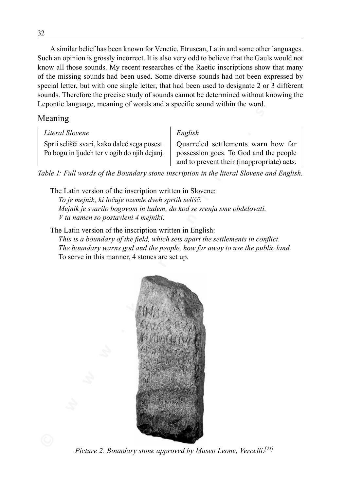A similar belief has been known for Venetic, Etruscan, Latin and some other languages. Such an opinion is grossly incorrect. It is also very odd to believe that the Gauls would not know all those sounds. My recent researches of the Raetic inscriptions show that many of the missing sounds had been used. Some diverse sounds had not been expressed by special letter, but with one single letter, that had been used to designate 2 or 3 different sounds. Therefore the precise study of sounds cannot be determined without knowing the Lepontic language, meaning of words and a specific sound within the word.

#### Meaning

*Literal Slovene English* Sprti selišči svari, kako daleč sega posest. Po bogu in ljudeh ter v ogib do njih dejanj.

Quarreled settlements warn how far possession goes. To God and the people and to prevent their (inappropriate) acts.

*Table 1: Full words of the Boundary stone inscription in the literal Slovene and English.*

The Latin version of the inscription written in Slovene: *To je mejnik, ki ločuje ozemle dveh sprtih selišč. Mejnik je svarilo bogovom in ludem, do kod se srenja sme obdelovati. V ta namen so postavleni 4 mejniki.*

The Latin version of the inscription written in English: *This is a boundary of the field, which sets apart the settlements in conflict. The boundary warns god and the people, how far away to use the public land.* To serve in this manner, 4 stones are set up.



 *Picture 2: Boundary stone approved by Museo Leone, Vercelli.[21]*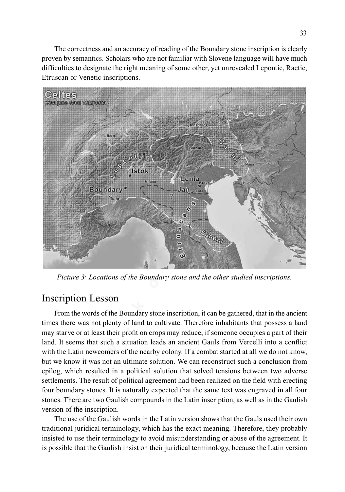The correctness and an accuracy of reading of the Boundary stone inscription is clearly proven by semantics. Scholars who are not familiar with Slovene language will have much difficulties to designate the right meaning of some other, yet unrevealed Lepontic, Raetic, Etruscan or Venetic inscriptions.



*Picture 3: Locations of the Boundary stone and the other studied inscriptions.*

## Inscription Lesson

From the words of the Boundary stone inscription, it can be gathered, that in the ancient times there was not plenty of land to cultivate. Therefore inhabitants that possess a land may starve or at least their profit on crops may reduce, if someone occupies a part of their land. It seems that such a situation leads an ancient Gauls from Vercelli into a conflict with the Latin newcomers of the nearby colony. If a combat started at all we do not know, but we know it was not an ultimate solution. We can reconstruct such a conclusion from epilog, which resulted in a political solution that solved tensions between two adverse settlements. The result of political agreement had been realized on the field with erecting four boundary stones. It is naturally expected that the same text was engraved in all four stones. There are two Gaulish compounds in the Latin inscription, as well as in the Gaulish version of the inscription.

The use of the Gaulish words in the Latin version shows that the Gauls used their own traditional juridical terminology, which has the exact meaning. Therefore, they probably insisted to use their terminology to avoid misunderstanding or abuse of the agreement. It is possible that the Gaulish insist on their juridical terminology, because the Latin version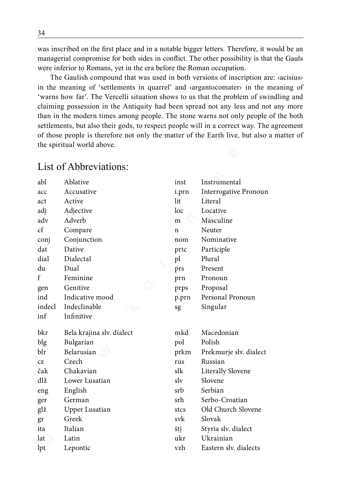was inscribed on the first place and in a notable bigger letters. Therefore, it would be an managerial compromise for both sides in conflict. The other possibility is that the Gauls were inferior to Romans, yet in the era before the Roman occupation.

## List of Abbreviations:

|              | on the mot place and in a hotaoie organ retters. Therefore,<br>managerial compromise for both sides in conflict. The other possibility is that the Gaul<br>were inferior to Romans, yet in the era before the Roman occupation.<br>The Gaulish compound that was used in both versions of inscription are: «acisius<br>in the meaning of 'settlements in quarrel' and <i>sargantocomater</i> in the meaning of<br>'warns how far'. The Vercelli situation shows to us that the problem of swindling and<br>claiming possession in the Antiquity had been spread not any less and not any more<br>than in the modern times among people. The stone warns not only people of the botl<br>settlements, but also their gods, to respect people will in a correct way. The agreement<br>of those people is therefore not only the matter of the Earth live, but also a matter of<br>the spiritual world above. |       |                        |
|--------------|-----------------------------------------------------------------------------------------------------------------------------------------------------------------------------------------------------------------------------------------------------------------------------------------------------------------------------------------------------------------------------------------------------------------------------------------------------------------------------------------------------------------------------------------------------------------------------------------------------------------------------------------------------------------------------------------------------------------------------------------------------------------------------------------------------------------------------------------------------------------------------------------------------------|-------|------------------------|
|              | List of Abbreviations:                                                                                                                                                                                                                                                                                                                                                                                                                                                                                                                                                                                                                                                                                                                                                                                                                                                                                    |       |                        |
| abl          | Ablative                                                                                                                                                                                                                                                                                                                                                                                                                                                                                                                                                                                                                                                                                                                                                                                                                                                                                                  | inst  | Instrumental           |
| acc          | Accusative                                                                                                                                                                                                                                                                                                                                                                                                                                                                                                                                                                                                                                                                                                                                                                                                                                                                                                | i.prn | Interrogative Pronoun  |
| act          | Active                                                                                                                                                                                                                                                                                                                                                                                                                                                                                                                                                                                                                                                                                                                                                                                                                                                                                                    | lit   | Literal                |
| adj          | Adjective                                                                                                                                                                                                                                                                                                                                                                                                                                                                                                                                                                                                                                                                                                                                                                                                                                                                                                 | loc   | Locative               |
| adv          | Adverb                                                                                                                                                                                                                                                                                                                                                                                                                                                                                                                                                                                                                                                                                                                                                                                                                                                                                                    | m     | Masculine              |
| cf           | Compare                                                                                                                                                                                                                                                                                                                                                                                                                                                                                                                                                                                                                                                                                                                                                                                                                                                                                                   | n     | Neuter                 |
| conj         | Conjunction                                                                                                                                                                                                                                                                                                                                                                                                                                                                                                                                                                                                                                                                                                                                                                                                                                                                                               | nom   | Nominative             |
| dat          | Dative                                                                                                                                                                                                                                                                                                                                                                                                                                                                                                                                                                                                                                                                                                                                                                                                                                                                                                    | prtc  | Participle             |
| dial         | Dialectal                                                                                                                                                                                                                                                                                                                                                                                                                                                                                                                                                                                                                                                                                                                                                                                                                                                                                                 | pl    | Plural                 |
| du           | Dual                                                                                                                                                                                                                                                                                                                                                                                                                                                                                                                                                                                                                                                                                                                                                                                                                                                                                                      | prs   | Present                |
| $\mathbf{f}$ | Feminine                                                                                                                                                                                                                                                                                                                                                                                                                                                                                                                                                                                                                                                                                                                                                                                                                                                                                                  | prn   | Pronoun                |
| gen          | Genitive                                                                                                                                                                                                                                                                                                                                                                                                                                                                                                                                                                                                                                                                                                                                                                                                                                                                                                  | prps  | Proposal               |
| ind          | Indicative mood                                                                                                                                                                                                                                                                                                                                                                                                                                                                                                                                                                                                                                                                                                                                                                                                                                                                                           | p.prn | Personal Pronoun       |
| indecl       | Indeclinable                                                                                                                                                                                                                                                                                                                                                                                                                                                                                                                                                                                                                                                                                                                                                                                                                                                                                              | sg    | Singular               |
| inf          | Infinitive                                                                                                                                                                                                                                                                                                                                                                                                                                                                                                                                                                                                                                                                                                                                                                                                                                                                                                |       |                        |
| bkr          | Bela krajina slv. dialect                                                                                                                                                                                                                                                                                                                                                                                                                                                                                                                                                                                                                                                                                                                                                                                                                                                                                 | mkd   | Macedonian             |
| blg          | Bulgarian                                                                                                                                                                                                                                                                                                                                                                                                                                                                                                                                                                                                                                                                                                                                                                                                                                                                                                 | pol   | Polish                 |
| blr          | Belarusian                                                                                                                                                                                                                                                                                                                                                                                                                                                                                                                                                                                                                                                                                                                                                                                                                                                                                                | prkm  | Prekmurje slv. dialect |
| CZ           | Czech                                                                                                                                                                                                                                                                                                                                                                                                                                                                                                                                                                                                                                                                                                                                                                                                                                                                                                     | rus   | Russian                |
| čak          | Chakavian                                                                                                                                                                                                                                                                                                                                                                                                                                                                                                                                                                                                                                                                                                                                                                                                                                                                                                 | slk   | Literally Slovene      |
| dlž          | Lower Lusatian                                                                                                                                                                                                                                                                                                                                                                                                                                                                                                                                                                                                                                                                                                                                                                                                                                                                                            | slv   | Slovene                |
| eng          | English                                                                                                                                                                                                                                                                                                                                                                                                                                                                                                                                                                                                                                                                                                                                                                                                                                                                                                   | srb   | Serbian                |
| ger          | German                                                                                                                                                                                                                                                                                                                                                                                                                                                                                                                                                                                                                                                                                                                                                                                                                                                                                                    | srh   | Serbo-Croatian         |
| glž          | <b>Upper Lusatian</b>                                                                                                                                                                                                                                                                                                                                                                                                                                                                                                                                                                                                                                                                                                                                                                                                                                                                                     | stcs  | Old Church Slovene     |
| gr           | Greek                                                                                                                                                                                                                                                                                                                                                                                                                                                                                                                                                                                                                                                                                                                                                                                                                                                                                                     | svk   | Slovak                 |
| ita          | Italian                                                                                                                                                                                                                                                                                                                                                                                                                                                                                                                                                                                                                                                                                                                                                                                                                                                                                                   | štj   | Styria slv. dialect    |
| lat          | Latin                                                                                                                                                                                                                                                                                                                                                                                                                                                                                                                                                                                                                                                                                                                                                                                                                                                                                                     | ukr   | Ukrainian              |
| lpt          | Lepontic                                                                                                                                                                                                                                                                                                                                                                                                                                                                                                                                                                                                                                                                                                                                                                                                                                                                                                  | vzh   | Eastern slv. dialects  |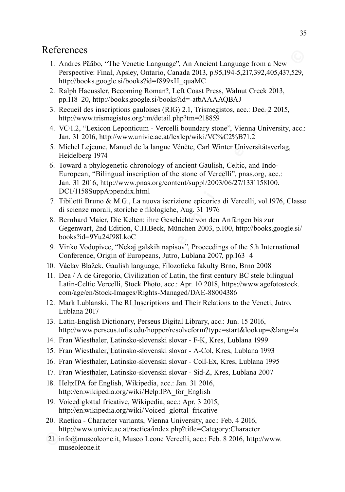# References

- 1. Andres Pääbo, "The Venetic Language", An Ancient Language from a New Perspective: Final, Apsley, Ontario, Canada 2013, p.95,194-5,217,392,405,437,529, http://books.google.si/books?id=f899xH\_quaMC
- 2. Ralph Haeussler, Becoming Roman?, Left Coast Press, Walnut Creek 2013, pp.118–20, http://books.google.si/books?id=-atbAAAAQBAJ
- 3. Recueil des inscriptions gauloises (RIG) 2.1, Trismegistos, acc.: Dec. 2 2015, http://www.trismegistos.org/tm/detail.php?tm=218859
- 4. VC·1.2, "Lexicon Leponticum Vercelli boundary stone", Vienna University, acc.: Jan. 31 2016, http://www.univie.ac.at/lexlep/wiki/VC%C2%B71.2
- 5. Michel Lejeune, Manuel de la langue Vénète, Carl Winter Universitätsverlag, Heidelberg 1974
- **CEP (FIGCS)**<br> **CEP (FIGCS)**<br> **P EXECT (FIGCS)** (Data (Data 2013), 995,194-5,217,392,405,437,529,<br> **Proper String (Apply, Olutric, Canada 2013, 995,194-5,217,392,405,437,529,<br>
<b>Proper String Roman?**, Len Crass Press, Wal 6. Toward a phylogenetic chronology of ancient Gaulish, Celtic, and Indo-European, "Bilingual inscription of the stone of Vercelli", pnas.org, acc.: Jan. 31 2016, http://www.pnas.org/content/suppl/2003/06/27/1331158100. DC1/1158SuppAppendix.html
	- 7. Tibiletti Bruno & M.G., La nuova iscrizione epicorica di Vercelli, vol.1976, Classe di scienze morali, storiche e filologiche, Aug. 31 1976
	- 8. Bernhard Maier, Die Kelten: ihre Geschichte von den Anfängen bis zur Gegenwart, 2nd Edition, C.H.Beck, München 2003, p.100, http://books.google.si/ books?id=9Yu24J98LkoC
	- 9. Vinko Vodopivec, "Nekaj galskih napisov", Proceedings of the 5th International Conference, Origin of Europeans, Jutro, Lublana 2007, pp.163–4
- 10. Václav Blažek, Gaulish language, Filozoficka fakulty Brno, Brno 2008
- 11. Dea / A de Gregorio, Civilization of Latin, the first century BC stele bilingual Latin-Celtic Vercelli, Stock Photo, acc.: Apr. 10 2018, https://www.agefotostock. com/age/en/Stock-Images/Rights-Managed/DAE-88004386
- 12. Mark Lublanski, The RI Inscriptions and Their Relations to the Veneti, Jutro, Lublana 2017
- 13. Latin-English Dictionary, Perseus Digital Library, acc.: Jun. 15 2016, http://www.perseus.tufts.edu/hopper/resolveform?type=start&lookup=&lang=la
- 14. Fran Wiesthaler, Latinsko-slovenski slovar F-K, Kres, Lublana 1999
- 15. Fran Wiesthaler, Latinsko-slovenski slovar A-Col, Kres, Lublana 1993
- 16. Fran Wiesthaler, Latinsko-slovenski slovar Coll-Ex, Kres, Lublana 1995
- 17. Fran Wiesthaler, Latinsko-slovenski slovar Sid-Z, Kres, Lublana 2007
- 18. Help:IPA for English, Wikipedia, acc.: Jan. 31 2016, http://en.wikipedia.org/wiki/Help:IPA\_for\_English
- 19. Voiced glottal fricative, Wikipedia, acc.: Apr. 3 2015, http://en.wikipedia.org/wiki/Voiced\_glottal\_fricative
- 20. Raetica Character variants, Vienna University, acc.: Feb. 4 2016, http://www.univie.ac.at/raetica/index.php?title=Category:Character
- 21 info@museoleone.it, Museo Leone Vercelli, acc.: Feb. 8 2016, http://www. museoleone.it